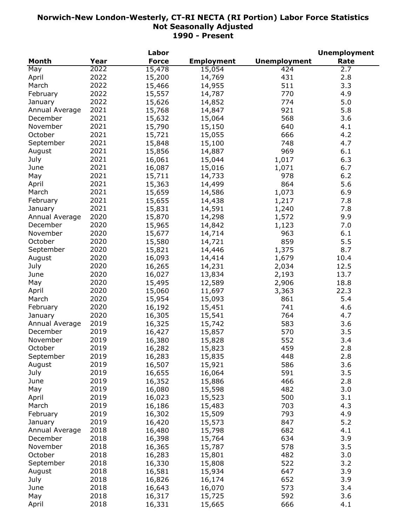| <b>Force</b><br><b>Employment</b><br><b>Unemployment</b><br><b>Month</b><br>Year<br>Rate<br>2022<br>May<br>15,478<br>15,054<br>424<br>2.7<br>2022<br>2.8<br>15,200<br>14,769<br>431<br>April<br>2022<br>511<br>3.3<br>15,466<br>14,955<br>March<br>2022<br>15,557<br>14,787<br>770<br>4.9<br>February<br>2022<br>15,626<br>14,852<br>774<br>5.0<br>January<br>2021<br>15,768<br>14,847<br>921<br>5.8<br>Annual Average<br>2021<br>568<br>15,632<br>3.6<br>December<br>15,064<br>2021<br>November<br>15,790<br>640<br>4.1<br>15,150<br>2021<br>666<br>4.2<br>October<br>15,721<br>15,055<br>2021<br>September<br>15,848<br>748<br>4.7<br>15,100<br>2021<br>969<br>15,856<br>6.1<br>August<br>14,887<br>2021<br>1,017<br>6.3<br>July<br>16,061<br>15,044<br>2021<br>6.7<br>June<br>16,087<br>15,016<br>1,071<br>2021<br>6.2<br>15,711<br>14,733<br>978<br>May<br>2021<br>864<br>5.6<br>15,363<br>14,499<br>April<br>2021<br>15,659<br>1,073<br>6.9<br>March<br>14,586<br>2021<br>15,655<br>7.8<br>February<br>14,438<br>1,217<br>2021<br>15,831<br>14,591<br>7.8<br>1,240<br>January<br>2020<br>15,870<br>14,298<br>9.9<br>Annual Average<br>1,572<br>2020<br>December<br>15,965<br>14,842<br>1,123<br>7.0<br>2020<br>November<br>15,677<br>14,714<br>963<br>6.1<br>2020<br>15,580<br>859<br>5.5<br>October<br>14,721<br>2020<br>8.7<br>15,821<br>1,375<br>September<br>14,446<br>2020<br>16,093<br>1,679<br>10.4<br>August<br>14,414<br>2020<br>12.5<br>July<br>16,265<br>14,231<br>2,034<br>2020<br>13.7<br>June<br>16,027<br>13,834<br>2,193<br>2020<br>18.8<br>May<br>15,495<br>12,589<br>2,906<br>2020<br>22.3<br>April<br>15,060<br>11,697<br>3,363<br>2020<br>5.4<br>March<br>15,954<br>861<br>15,093<br>2020<br>February<br>16,192<br>741<br>4.6<br>15,451<br>2020<br>764<br>16,305<br>15,541<br>4.7<br>January<br>2019<br>583<br>3.6<br>Annual Average<br>16,325<br>15,742<br>2019<br>570<br>3.5<br>December<br>16,427<br>15,857<br>2019<br>552<br>3.4<br>November<br>16,380<br>15,828<br>2019<br>16,282<br>15,823<br>459<br>October<br>2.8<br>2019<br>16,283<br>15,835<br>448<br>2.8<br>September<br>586<br>2019<br>16,507<br>15,921<br>3.6<br>August<br>16,655<br>2019<br>591<br>3.5<br>July<br>16,064<br>16,352<br>466<br>2.8<br>2019<br>15,886<br>June<br>2019<br>16,080<br>482<br>3.0<br>May<br>15,598<br>2019<br>16,023<br>500<br>3.1<br>April<br>15,523<br>2019<br>703<br>4.3<br>March<br>16,186<br>15,483<br>2019<br>793<br>4.9<br>February<br>16,302<br>15,509<br>2019<br>847<br>5.2<br>16,420<br>January<br>15,573<br>682<br>2018<br>4.1<br>Annual Average<br>16,480<br>15,798<br>2018<br>634<br>December<br>16,398<br>3.9<br>15,764<br>2018<br>578<br>November<br>16,365<br>3.5<br>15,787<br>2018<br>482<br>October<br>16,283<br>3.0<br>15,801<br>2018<br>522<br>September<br>16,330<br>15,808<br>3.2<br>2018<br>647<br>August<br>16,581<br>3.9<br>15,934<br>2018<br>652<br>3.9<br>July<br>16,826<br>16,174<br>2018<br>573<br>June<br>16,643<br>16,070<br>3.4<br>2018<br>592<br>May<br>16,317<br>15,725<br>3.6 |       | Labor |  | <b>Unemployment</b> |
|----------------------------------------------------------------------------------------------------------------------------------------------------------------------------------------------------------------------------------------------------------------------------------------------------------------------------------------------------------------------------------------------------------------------------------------------------------------------------------------------------------------------------------------------------------------------------------------------------------------------------------------------------------------------------------------------------------------------------------------------------------------------------------------------------------------------------------------------------------------------------------------------------------------------------------------------------------------------------------------------------------------------------------------------------------------------------------------------------------------------------------------------------------------------------------------------------------------------------------------------------------------------------------------------------------------------------------------------------------------------------------------------------------------------------------------------------------------------------------------------------------------------------------------------------------------------------------------------------------------------------------------------------------------------------------------------------------------------------------------------------------------------------------------------------------------------------------------------------------------------------------------------------------------------------------------------------------------------------------------------------------------------------------------------------------------------------------------------------------------------------------------------------------------------------------------------------------------------------------------------------------------------------------------------------------------------------------------------------------------------------------------------------------------------------------------------------------------------------------------------------------------------------------------------------------------------------------------------------------------------------------------------------------------------------------------------------------------------------------------------------------------------------------------------------------------------------------------------------------------------------------------------------------------------------------------------------------------------------------------------------------------------------------|-------|-------|--|---------------------|
|                                                                                                                                                                                                                                                                                                                                                                                                                                                                                                                                                                                                                                                                                                                                                                                                                                                                                                                                                                                                                                                                                                                                                                                                                                                                                                                                                                                                                                                                                                                                                                                                                                                                                                                                                                                                                                                                                                                                                                                                                                                                                                                                                                                                                                                                                                                                                                                                                                                                                                                                                                                                                                                                                                                                                                                                                                                                                                                                                                                                                                  |       |       |  |                     |
|                                                                                                                                                                                                                                                                                                                                                                                                                                                                                                                                                                                                                                                                                                                                                                                                                                                                                                                                                                                                                                                                                                                                                                                                                                                                                                                                                                                                                                                                                                                                                                                                                                                                                                                                                                                                                                                                                                                                                                                                                                                                                                                                                                                                                                                                                                                                                                                                                                                                                                                                                                                                                                                                                                                                                                                                                                                                                                                                                                                                                                  |       |       |  |                     |
|                                                                                                                                                                                                                                                                                                                                                                                                                                                                                                                                                                                                                                                                                                                                                                                                                                                                                                                                                                                                                                                                                                                                                                                                                                                                                                                                                                                                                                                                                                                                                                                                                                                                                                                                                                                                                                                                                                                                                                                                                                                                                                                                                                                                                                                                                                                                                                                                                                                                                                                                                                                                                                                                                                                                                                                                                                                                                                                                                                                                                                  |       |       |  |                     |
|                                                                                                                                                                                                                                                                                                                                                                                                                                                                                                                                                                                                                                                                                                                                                                                                                                                                                                                                                                                                                                                                                                                                                                                                                                                                                                                                                                                                                                                                                                                                                                                                                                                                                                                                                                                                                                                                                                                                                                                                                                                                                                                                                                                                                                                                                                                                                                                                                                                                                                                                                                                                                                                                                                                                                                                                                                                                                                                                                                                                                                  |       |       |  |                     |
|                                                                                                                                                                                                                                                                                                                                                                                                                                                                                                                                                                                                                                                                                                                                                                                                                                                                                                                                                                                                                                                                                                                                                                                                                                                                                                                                                                                                                                                                                                                                                                                                                                                                                                                                                                                                                                                                                                                                                                                                                                                                                                                                                                                                                                                                                                                                                                                                                                                                                                                                                                                                                                                                                                                                                                                                                                                                                                                                                                                                                                  |       |       |  |                     |
|                                                                                                                                                                                                                                                                                                                                                                                                                                                                                                                                                                                                                                                                                                                                                                                                                                                                                                                                                                                                                                                                                                                                                                                                                                                                                                                                                                                                                                                                                                                                                                                                                                                                                                                                                                                                                                                                                                                                                                                                                                                                                                                                                                                                                                                                                                                                                                                                                                                                                                                                                                                                                                                                                                                                                                                                                                                                                                                                                                                                                                  |       |       |  |                     |
|                                                                                                                                                                                                                                                                                                                                                                                                                                                                                                                                                                                                                                                                                                                                                                                                                                                                                                                                                                                                                                                                                                                                                                                                                                                                                                                                                                                                                                                                                                                                                                                                                                                                                                                                                                                                                                                                                                                                                                                                                                                                                                                                                                                                                                                                                                                                                                                                                                                                                                                                                                                                                                                                                                                                                                                                                                                                                                                                                                                                                                  |       |       |  |                     |
|                                                                                                                                                                                                                                                                                                                                                                                                                                                                                                                                                                                                                                                                                                                                                                                                                                                                                                                                                                                                                                                                                                                                                                                                                                                                                                                                                                                                                                                                                                                                                                                                                                                                                                                                                                                                                                                                                                                                                                                                                                                                                                                                                                                                                                                                                                                                                                                                                                                                                                                                                                                                                                                                                                                                                                                                                                                                                                                                                                                                                                  |       |       |  |                     |
|                                                                                                                                                                                                                                                                                                                                                                                                                                                                                                                                                                                                                                                                                                                                                                                                                                                                                                                                                                                                                                                                                                                                                                                                                                                                                                                                                                                                                                                                                                                                                                                                                                                                                                                                                                                                                                                                                                                                                                                                                                                                                                                                                                                                                                                                                                                                                                                                                                                                                                                                                                                                                                                                                                                                                                                                                                                                                                                                                                                                                                  |       |       |  |                     |
|                                                                                                                                                                                                                                                                                                                                                                                                                                                                                                                                                                                                                                                                                                                                                                                                                                                                                                                                                                                                                                                                                                                                                                                                                                                                                                                                                                                                                                                                                                                                                                                                                                                                                                                                                                                                                                                                                                                                                                                                                                                                                                                                                                                                                                                                                                                                                                                                                                                                                                                                                                                                                                                                                                                                                                                                                                                                                                                                                                                                                                  |       |       |  |                     |
|                                                                                                                                                                                                                                                                                                                                                                                                                                                                                                                                                                                                                                                                                                                                                                                                                                                                                                                                                                                                                                                                                                                                                                                                                                                                                                                                                                                                                                                                                                                                                                                                                                                                                                                                                                                                                                                                                                                                                                                                                                                                                                                                                                                                                                                                                                                                                                                                                                                                                                                                                                                                                                                                                                                                                                                                                                                                                                                                                                                                                                  |       |       |  |                     |
|                                                                                                                                                                                                                                                                                                                                                                                                                                                                                                                                                                                                                                                                                                                                                                                                                                                                                                                                                                                                                                                                                                                                                                                                                                                                                                                                                                                                                                                                                                                                                                                                                                                                                                                                                                                                                                                                                                                                                                                                                                                                                                                                                                                                                                                                                                                                                                                                                                                                                                                                                                                                                                                                                                                                                                                                                                                                                                                                                                                                                                  |       |       |  |                     |
|                                                                                                                                                                                                                                                                                                                                                                                                                                                                                                                                                                                                                                                                                                                                                                                                                                                                                                                                                                                                                                                                                                                                                                                                                                                                                                                                                                                                                                                                                                                                                                                                                                                                                                                                                                                                                                                                                                                                                                                                                                                                                                                                                                                                                                                                                                                                                                                                                                                                                                                                                                                                                                                                                                                                                                                                                                                                                                                                                                                                                                  |       |       |  |                     |
|                                                                                                                                                                                                                                                                                                                                                                                                                                                                                                                                                                                                                                                                                                                                                                                                                                                                                                                                                                                                                                                                                                                                                                                                                                                                                                                                                                                                                                                                                                                                                                                                                                                                                                                                                                                                                                                                                                                                                                                                                                                                                                                                                                                                                                                                                                                                                                                                                                                                                                                                                                                                                                                                                                                                                                                                                                                                                                                                                                                                                                  |       |       |  |                     |
|                                                                                                                                                                                                                                                                                                                                                                                                                                                                                                                                                                                                                                                                                                                                                                                                                                                                                                                                                                                                                                                                                                                                                                                                                                                                                                                                                                                                                                                                                                                                                                                                                                                                                                                                                                                                                                                                                                                                                                                                                                                                                                                                                                                                                                                                                                                                                                                                                                                                                                                                                                                                                                                                                                                                                                                                                                                                                                                                                                                                                                  |       |       |  |                     |
|                                                                                                                                                                                                                                                                                                                                                                                                                                                                                                                                                                                                                                                                                                                                                                                                                                                                                                                                                                                                                                                                                                                                                                                                                                                                                                                                                                                                                                                                                                                                                                                                                                                                                                                                                                                                                                                                                                                                                                                                                                                                                                                                                                                                                                                                                                                                                                                                                                                                                                                                                                                                                                                                                                                                                                                                                                                                                                                                                                                                                                  |       |       |  |                     |
|                                                                                                                                                                                                                                                                                                                                                                                                                                                                                                                                                                                                                                                                                                                                                                                                                                                                                                                                                                                                                                                                                                                                                                                                                                                                                                                                                                                                                                                                                                                                                                                                                                                                                                                                                                                                                                                                                                                                                                                                                                                                                                                                                                                                                                                                                                                                                                                                                                                                                                                                                                                                                                                                                                                                                                                                                                                                                                                                                                                                                                  |       |       |  |                     |
|                                                                                                                                                                                                                                                                                                                                                                                                                                                                                                                                                                                                                                                                                                                                                                                                                                                                                                                                                                                                                                                                                                                                                                                                                                                                                                                                                                                                                                                                                                                                                                                                                                                                                                                                                                                                                                                                                                                                                                                                                                                                                                                                                                                                                                                                                                                                                                                                                                                                                                                                                                                                                                                                                                                                                                                                                                                                                                                                                                                                                                  |       |       |  |                     |
|                                                                                                                                                                                                                                                                                                                                                                                                                                                                                                                                                                                                                                                                                                                                                                                                                                                                                                                                                                                                                                                                                                                                                                                                                                                                                                                                                                                                                                                                                                                                                                                                                                                                                                                                                                                                                                                                                                                                                                                                                                                                                                                                                                                                                                                                                                                                                                                                                                                                                                                                                                                                                                                                                                                                                                                                                                                                                                                                                                                                                                  |       |       |  |                     |
|                                                                                                                                                                                                                                                                                                                                                                                                                                                                                                                                                                                                                                                                                                                                                                                                                                                                                                                                                                                                                                                                                                                                                                                                                                                                                                                                                                                                                                                                                                                                                                                                                                                                                                                                                                                                                                                                                                                                                                                                                                                                                                                                                                                                                                                                                                                                                                                                                                                                                                                                                                                                                                                                                                                                                                                                                                                                                                                                                                                                                                  |       |       |  |                     |
|                                                                                                                                                                                                                                                                                                                                                                                                                                                                                                                                                                                                                                                                                                                                                                                                                                                                                                                                                                                                                                                                                                                                                                                                                                                                                                                                                                                                                                                                                                                                                                                                                                                                                                                                                                                                                                                                                                                                                                                                                                                                                                                                                                                                                                                                                                                                                                                                                                                                                                                                                                                                                                                                                                                                                                                                                                                                                                                                                                                                                                  |       |       |  |                     |
|                                                                                                                                                                                                                                                                                                                                                                                                                                                                                                                                                                                                                                                                                                                                                                                                                                                                                                                                                                                                                                                                                                                                                                                                                                                                                                                                                                                                                                                                                                                                                                                                                                                                                                                                                                                                                                                                                                                                                                                                                                                                                                                                                                                                                                                                                                                                                                                                                                                                                                                                                                                                                                                                                                                                                                                                                                                                                                                                                                                                                                  |       |       |  |                     |
|                                                                                                                                                                                                                                                                                                                                                                                                                                                                                                                                                                                                                                                                                                                                                                                                                                                                                                                                                                                                                                                                                                                                                                                                                                                                                                                                                                                                                                                                                                                                                                                                                                                                                                                                                                                                                                                                                                                                                                                                                                                                                                                                                                                                                                                                                                                                                                                                                                                                                                                                                                                                                                                                                                                                                                                                                                                                                                                                                                                                                                  |       |       |  |                     |
|                                                                                                                                                                                                                                                                                                                                                                                                                                                                                                                                                                                                                                                                                                                                                                                                                                                                                                                                                                                                                                                                                                                                                                                                                                                                                                                                                                                                                                                                                                                                                                                                                                                                                                                                                                                                                                                                                                                                                                                                                                                                                                                                                                                                                                                                                                                                                                                                                                                                                                                                                                                                                                                                                                                                                                                                                                                                                                                                                                                                                                  |       |       |  |                     |
|                                                                                                                                                                                                                                                                                                                                                                                                                                                                                                                                                                                                                                                                                                                                                                                                                                                                                                                                                                                                                                                                                                                                                                                                                                                                                                                                                                                                                                                                                                                                                                                                                                                                                                                                                                                                                                                                                                                                                                                                                                                                                                                                                                                                                                                                                                                                                                                                                                                                                                                                                                                                                                                                                                                                                                                                                                                                                                                                                                                                                                  |       |       |  |                     |
|                                                                                                                                                                                                                                                                                                                                                                                                                                                                                                                                                                                                                                                                                                                                                                                                                                                                                                                                                                                                                                                                                                                                                                                                                                                                                                                                                                                                                                                                                                                                                                                                                                                                                                                                                                                                                                                                                                                                                                                                                                                                                                                                                                                                                                                                                                                                                                                                                                                                                                                                                                                                                                                                                                                                                                                                                                                                                                                                                                                                                                  |       |       |  |                     |
|                                                                                                                                                                                                                                                                                                                                                                                                                                                                                                                                                                                                                                                                                                                                                                                                                                                                                                                                                                                                                                                                                                                                                                                                                                                                                                                                                                                                                                                                                                                                                                                                                                                                                                                                                                                                                                                                                                                                                                                                                                                                                                                                                                                                                                                                                                                                                                                                                                                                                                                                                                                                                                                                                                                                                                                                                                                                                                                                                                                                                                  |       |       |  |                     |
|                                                                                                                                                                                                                                                                                                                                                                                                                                                                                                                                                                                                                                                                                                                                                                                                                                                                                                                                                                                                                                                                                                                                                                                                                                                                                                                                                                                                                                                                                                                                                                                                                                                                                                                                                                                                                                                                                                                                                                                                                                                                                                                                                                                                                                                                                                                                                                                                                                                                                                                                                                                                                                                                                                                                                                                                                                                                                                                                                                                                                                  |       |       |  |                     |
|                                                                                                                                                                                                                                                                                                                                                                                                                                                                                                                                                                                                                                                                                                                                                                                                                                                                                                                                                                                                                                                                                                                                                                                                                                                                                                                                                                                                                                                                                                                                                                                                                                                                                                                                                                                                                                                                                                                                                                                                                                                                                                                                                                                                                                                                                                                                                                                                                                                                                                                                                                                                                                                                                                                                                                                                                                                                                                                                                                                                                                  |       |       |  |                     |
|                                                                                                                                                                                                                                                                                                                                                                                                                                                                                                                                                                                                                                                                                                                                                                                                                                                                                                                                                                                                                                                                                                                                                                                                                                                                                                                                                                                                                                                                                                                                                                                                                                                                                                                                                                                                                                                                                                                                                                                                                                                                                                                                                                                                                                                                                                                                                                                                                                                                                                                                                                                                                                                                                                                                                                                                                                                                                                                                                                                                                                  |       |       |  |                     |
|                                                                                                                                                                                                                                                                                                                                                                                                                                                                                                                                                                                                                                                                                                                                                                                                                                                                                                                                                                                                                                                                                                                                                                                                                                                                                                                                                                                                                                                                                                                                                                                                                                                                                                                                                                                                                                                                                                                                                                                                                                                                                                                                                                                                                                                                                                                                                                                                                                                                                                                                                                                                                                                                                                                                                                                                                                                                                                                                                                                                                                  |       |       |  |                     |
|                                                                                                                                                                                                                                                                                                                                                                                                                                                                                                                                                                                                                                                                                                                                                                                                                                                                                                                                                                                                                                                                                                                                                                                                                                                                                                                                                                                                                                                                                                                                                                                                                                                                                                                                                                                                                                                                                                                                                                                                                                                                                                                                                                                                                                                                                                                                                                                                                                                                                                                                                                                                                                                                                                                                                                                                                                                                                                                                                                                                                                  |       |       |  |                     |
|                                                                                                                                                                                                                                                                                                                                                                                                                                                                                                                                                                                                                                                                                                                                                                                                                                                                                                                                                                                                                                                                                                                                                                                                                                                                                                                                                                                                                                                                                                                                                                                                                                                                                                                                                                                                                                                                                                                                                                                                                                                                                                                                                                                                                                                                                                                                                                                                                                                                                                                                                                                                                                                                                                                                                                                                                                                                                                                                                                                                                                  |       |       |  |                     |
|                                                                                                                                                                                                                                                                                                                                                                                                                                                                                                                                                                                                                                                                                                                                                                                                                                                                                                                                                                                                                                                                                                                                                                                                                                                                                                                                                                                                                                                                                                                                                                                                                                                                                                                                                                                                                                                                                                                                                                                                                                                                                                                                                                                                                                                                                                                                                                                                                                                                                                                                                                                                                                                                                                                                                                                                                                                                                                                                                                                                                                  |       |       |  |                     |
|                                                                                                                                                                                                                                                                                                                                                                                                                                                                                                                                                                                                                                                                                                                                                                                                                                                                                                                                                                                                                                                                                                                                                                                                                                                                                                                                                                                                                                                                                                                                                                                                                                                                                                                                                                                                                                                                                                                                                                                                                                                                                                                                                                                                                                                                                                                                                                                                                                                                                                                                                                                                                                                                                                                                                                                                                                                                                                                                                                                                                                  |       |       |  |                     |
|                                                                                                                                                                                                                                                                                                                                                                                                                                                                                                                                                                                                                                                                                                                                                                                                                                                                                                                                                                                                                                                                                                                                                                                                                                                                                                                                                                                                                                                                                                                                                                                                                                                                                                                                                                                                                                                                                                                                                                                                                                                                                                                                                                                                                                                                                                                                                                                                                                                                                                                                                                                                                                                                                                                                                                                                                                                                                                                                                                                                                                  |       |       |  |                     |
|                                                                                                                                                                                                                                                                                                                                                                                                                                                                                                                                                                                                                                                                                                                                                                                                                                                                                                                                                                                                                                                                                                                                                                                                                                                                                                                                                                                                                                                                                                                                                                                                                                                                                                                                                                                                                                                                                                                                                                                                                                                                                                                                                                                                                                                                                                                                                                                                                                                                                                                                                                                                                                                                                                                                                                                                                                                                                                                                                                                                                                  |       |       |  |                     |
|                                                                                                                                                                                                                                                                                                                                                                                                                                                                                                                                                                                                                                                                                                                                                                                                                                                                                                                                                                                                                                                                                                                                                                                                                                                                                                                                                                                                                                                                                                                                                                                                                                                                                                                                                                                                                                                                                                                                                                                                                                                                                                                                                                                                                                                                                                                                                                                                                                                                                                                                                                                                                                                                                                                                                                                                                                                                                                                                                                                                                                  |       |       |  |                     |
|                                                                                                                                                                                                                                                                                                                                                                                                                                                                                                                                                                                                                                                                                                                                                                                                                                                                                                                                                                                                                                                                                                                                                                                                                                                                                                                                                                                                                                                                                                                                                                                                                                                                                                                                                                                                                                                                                                                                                                                                                                                                                                                                                                                                                                                                                                                                                                                                                                                                                                                                                                                                                                                                                                                                                                                                                                                                                                                                                                                                                                  |       |       |  |                     |
|                                                                                                                                                                                                                                                                                                                                                                                                                                                                                                                                                                                                                                                                                                                                                                                                                                                                                                                                                                                                                                                                                                                                                                                                                                                                                                                                                                                                                                                                                                                                                                                                                                                                                                                                                                                                                                                                                                                                                                                                                                                                                                                                                                                                                                                                                                                                                                                                                                                                                                                                                                                                                                                                                                                                                                                                                                                                                                                                                                                                                                  |       |       |  |                     |
|                                                                                                                                                                                                                                                                                                                                                                                                                                                                                                                                                                                                                                                                                                                                                                                                                                                                                                                                                                                                                                                                                                                                                                                                                                                                                                                                                                                                                                                                                                                                                                                                                                                                                                                                                                                                                                                                                                                                                                                                                                                                                                                                                                                                                                                                                                                                                                                                                                                                                                                                                                                                                                                                                                                                                                                                                                                                                                                                                                                                                                  |       |       |  |                     |
|                                                                                                                                                                                                                                                                                                                                                                                                                                                                                                                                                                                                                                                                                                                                                                                                                                                                                                                                                                                                                                                                                                                                                                                                                                                                                                                                                                                                                                                                                                                                                                                                                                                                                                                                                                                                                                                                                                                                                                                                                                                                                                                                                                                                                                                                                                                                                                                                                                                                                                                                                                                                                                                                                                                                                                                                                                                                                                                                                                                                                                  |       |       |  |                     |
|                                                                                                                                                                                                                                                                                                                                                                                                                                                                                                                                                                                                                                                                                                                                                                                                                                                                                                                                                                                                                                                                                                                                                                                                                                                                                                                                                                                                                                                                                                                                                                                                                                                                                                                                                                                                                                                                                                                                                                                                                                                                                                                                                                                                                                                                                                                                                                                                                                                                                                                                                                                                                                                                                                                                                                                                                                                                                                                                                                                                                                  |       |       |  |                     |
|                                                                                                                                                                                                                                                                                                                                                                                                                                                                                                                                                                                                                                                                                                                                                                                                                                                                                                                                                                                                                                                                                                                                                                                                                                                                                                                                                                                                                                                                                                                                                                                                                                                                                                                                                                                                                                                                                                                                                                                                                                                                                                                                                                                                                                                                                                                                                                                                                                                                                                                                                                                                                                                                                                                                                                                                                                                                                                                                                                                                                                  |       |       |  |                     |
|                                                                                                                                                                                                                                                                                                                                                                                                                                                                                                                                                                                                                                                                                                                                                                                                                                                                                                                                                                                                                                                                                                                                                                                                                                                                                                                                                                                                                                                                                                                                                                                                                                                                                                                                                                                                                                                                                                                                                                                                                                                                                                                                                                                                                                                                                                                                                                                                                                                                                                                                                                                                                                                                                                                                                                                                                                                                                                                                                                                                                                  |       |       |  |                     |
|                                                                                                                                                                                                                                                                                                                                                                                                                                                                                                                                                                                                                                                                                                                                                                                                                                                                                                                                                                                                                                                                                                                                                                                                                                                                                                                                                                                                                                                                                                                                                                                                                                                                                                                                                                                                                                                                                                                                                                                                                                                                                                                                                                                                                                                                                                                                                                                                                                                                                                                                                                                                                                                                                                                                                                                                                                                                                                                                                                                                                                  |       |       |  |                     |
|                                                                                                                                                                                                                                                                                                                                                                                                                                                                                                                                                                                                                                                                                                                                                                                                                                                                                                                                                                                                                                                                                                                                                                                                                                                                                                                                                                                                                                                                                                                                                                                                                                                                                                                                                                                                                                                                                                                                                                                                                                                                                                                                                                                                                                                                                                                                                                                                                                                                                                                                                                                                                                                                                                                                                                                                                                                                                                                                                                                                                                  |       |       |  |                     |
|                                                                                                                                                                                                                                                                                                                                                                                                                                                                                                                                                                                                                                                                                                                                                                                                                                                                                                                                                                                                                                                                                                                                                                                                                                                                                                                                                                                                                                                                                                                                                                                                                                                                                                                                                                                                                                                                                                                                                                                                                                                                                                                                                                                                                                                                                                                                                                                                                                                                                                                                                                                                                                                                                                                                                                                                                                                                                                                                                                                                                                  |       |       |  |                     |
|                                                                                                                                                                                                                                                                                                                                                                                                                                                                                                                                                                                                                                                                                                                                                                                                                                                                                                                                                                                                                                                                                                                                                                                                                                                                                                                                                                                                                                                                                                                                                                                                                                                                                                                                                                                                                                                                                                                                                                                                                                                                                                                                                                                                                                                                                                                                                                                                                                                                                                                                                                                                                                                                                                                                                                                                                                                                                                                                                                                                                                  |       |       |  |                     |
|                                                                                                                                                                                                                                                                                                                                                                                                                                                                                                                                                                                                                                                                                                                                                                                                                                                                                                                                                                                                                                                                                                                                                                                                                                                                                                                                                                                                                                                                                                                                                                                                                                                                                                                                                                                                                                                                                                                                                                                                                                                                                                                                                                                                                                                                                                                                                                                                                                                                                                                                                                                                                                                                                                                                                                                                                                                                                                                                                                                                                                  |       |       |  |                     |
|                                                                                                                                                                                                                                                                                                                                                                                                                                                                                                                                                                                                                                                                                                                                                                                                                                                                                                                                                                                                                                                                                                                                                                                                                                                                                                                                                                                                                                                                                                                                                                                                                                                                                                                                                                                                                                                                                                                                                                                                                                                                                                                                                                                                                                                                                                                                                                                                                                                                                                                                                                                                                                                                                                                                                                                                                                                                                                                                                                                                                                  |       |       |  |                     |
|                                                                                                                                                                                                                                                                                                                                                                                                                                                                                                                                                                                                                                                                                                                                                                                                                                                                                                                                                                                                                                                                                                                                                                                                                                                                                                                                                                                                                                                                                                                                                                                                                                                                                                                                                                                                                                                                                                                                                                                                                                                                                                                                                                                                                                                                                                                                                                                                                                                                                                                                                                                                                                                                                                                                                                                                                                                                                                                                                                                                                                  |       |       |  |                     |
|                                                                                                                                                                                                                                                                                                                                                                                                                                                                                                                                                                                                                                                                                                                                                                                                                                                                                                                                                                                                                                                                                                                                                                                                                                                                                                                                                                                                                                                                                                                                                                                                                                                                                                                                                                                                                                                                                                                                                                                                                                                                                                                                                                                                                                                                                                                                                                                                                                                                                                                                                                                                                                                                                                                                                                                                                                                                                                                                                                                                                                  |       |       |  |                     |
|                                                                                                                                                                                                                                                                                                                                                                                                                                                                                                                                                                                                                                                                                                                                                                                                                                                                                                                                                                                                                                                                                                                                                                                                                                                                                                                                                                                                                                                                                                                                                                                                                                                                                                                                                                                                                                                                                                                                                                                                                                                                                                                                                                                                                                                                                                                                                                                                                                                                                                                                                                                                                                                                                                                                                                                                                                                                                                                                                                                                                                  |       |       |  |                     |
|                                                                                                                                                                                                                                                                                                                                                                                                                                                                                                                                                                                                                                                                                                                                                                                                                                                                                                                                                                                                                                                                                                                                                                                                                                                                                                                                                                                                                                                                                                                                                                                                                                                                                                                                                                                                                                                                                                                                                                                                                                                                                                                                                                                                                                                                                                                                                                                                                                                                                                                                                                                                                                                                                                                                                                                                                                                                                                                                                                                                                                  |       |       |  |                     |
| 666<br>2018<br>16,331<br>15,665<br>4.1                                                                                                                                                                                                                                                                                                                                                                                                                                                                                                                                                                                                                                                                                                                                                                                                                                                                                                                                                                                                                                                                                                                                                                                                                                                                                                                                                                                                                                                                                                                                                                                                                                                                                                                                                                                                                                                                                                                                                                                                                                                                                                                                                                                                                                                                                                                                                                                                                                                                                                                                                                                                                                                                                                                                                                                                                                                                                                                                                                                           | April |       |  |                     |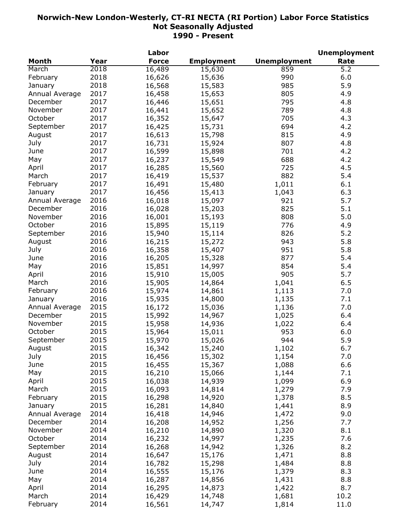|                |      | Labor        |                   |                     | <b>Unemployment</b> |
|----------------|------|--------------|-------------------|---------------------|---------------------|
| Month          | Year | <b>Force</b> | <b>Employment</b> | <b>Unemployment</b> | Rate                |
| March          | 2018 | 16,489       | 15,630            | 859                 | $\overline{5.2}$    |
| February       | 2018 | 16,626       | 15,636            | 990                 | 6.0                 |
| January        | 2018 | 16,568       | 15,583            | 985                 | 5.9                 |
| Annual Average | 2017 | 16,458       | 15,653            | 805                 | 4.9                 |
| December       | 2017 | 16,446       | 15,651            | 795                 | 4.8                 |
| November       | 2017 | 16,441       | 15,652            | 789                 | 4.8                 |
| October        | 2017 | 16,352       | 15,647            | 705                 | 4.3                 |
| September      | 2017 | 16,425       | 15,731            | 694                 | 4.2                 |
| August         | 2017 | 16,613       | 15,798            | 815                 | 4.9                 |
| July           | 2017 | 16,731       | 15,924            | 807                 | 4.8                 |
| June           | 2017 | 16,599       | 15,898            | 701                 | 4.2                 |
| May            | 2017 | 16,237       | 15,549            | 688                 | 4.2                 |
| April          | 2017 | 16,285       | 15,560            | 725                 | 4.5                 |
| March          | 2017 | 16,419       | 15,537            | 882                 | 5.4                 |
| February       | 2017 |              |                   |                     | 6.1                 |
|                |      | 16,491       | 15,480            | 1,011               |                     |
| January        | 2017 | 16,456       | 15,413            | 1,043               | 6.3                 |
| Annual Average | 2016 | 16,018       | 15,097            | 921                 | 5.7                 |
| December       | 2016 | 16,028       | 15,203            | 825                 | 5.1                 |
| November       | 2016 | 16,001       | 15,193            | 808                 | 5.0                 |
| October        | 2016 | 15,895       | 15,119            | 776                 | 4.9                 |
| September      | 2016 | 15,940       | 15,114            | 826                 | 5.2                 |
| August         | 2016 | 16,215       | 15,272            | 943                 | 5.8                 |
| July           | 2016 | 16,358       | 15,407            | 951                 | 5.8                 |
| June           | 2016 | 16,205       | 15,328            | 877                 | 5.4                 |
| May            | 2016 | 15,851       | 14,997            | 854                 | 5.4                 |
| April          | 2016 | 15,910       | 15,005            | 905                 | 5.7                 |
| March          | 2016 | 15,905       | 14,864            | 1,041               | 6.5                 |
| February       | 2016 | 15,974       | 14,861            | 1,113               | 7.0                 |
| January        | 2016 | 15,935       | 14,800            | 1,135               | 7.1                 |
| Annual Average | 2015 | 16,172       | 15,036            | 1,136               | 7.0                 |
| December       | 2015 | 15,992       | 14,967            | 1,025               | 6.4                 |
| November       | 2015 | 15,958       | 14,936            | 1,022               | 6.4                 |
| October        | 2015 | 15,964       | 15,011            | 953                 | 6.0                 |
| September      | 2015 | 15,970       | 15,026            | 944                 | 5.9                 |
| August         | 2015 | 16,342       | 15,240            | 1,102               | 6.7                 |
| July           | 2015 | 16,456       | 15,302            | 1,154               | 7.0                 |
| June           | 2015 | 16,455       | 15,367            | 1,088               | 6.6                 |
| May            | 2015 | 16,210       | 15,066            | 1,144               | 7.1                 |
| April          | 2015 | 16,038       | 14,939            | 1,099               | 6.9                 |
| March          | 2015 | 16,093       | 14,814            | 1,279               | 7.9                 |
| February       | 2015 | 16,298       | 14,920            | 1,378               | 8.5                 |
| January        | 2015 | 16,281       | 14,840            | 1,441               | 8.9                 |
| Annual Average | 2014 | 16,418       | 14,946            | 1,472               | 9.0                 |
| December       | 2014 | 16,208       | 14,952            |                     | 7.7                 |
| November       | 2014 |              | 14,890            | 1,256               | 8.1                 |
|                | 2014 | 16,210       |                   | 1,320               |                     |
| October        |      | 16,232       | 14,997            | 1,235               | 7.6                 |
| September      | 2014 | 16,268       | 14,942            | 1,326               | 8.2                 |
| August         | 2014 | 16,647       | 15,176            | 1,471               | 8.8                 |
| July           | 2014 | 16,782       | 15,298            | 1,484               | 8.8                 |
| June           | 2014 | 16,555       | 15,176            | 1,379               | 8.3                 |
| May            | 2014 | 16,287       | 14,856            | 1,431               | 8.8                 |
| April          | 2014 | 16,295       | 14,873            | 1,422               | 8.7                 |
| March          | 2014 | 16,429       | 14,748            | 1,681               | 10.2                |
| February       | 2014 | 16,561       | 14,747            | 1,814               | 11.0                |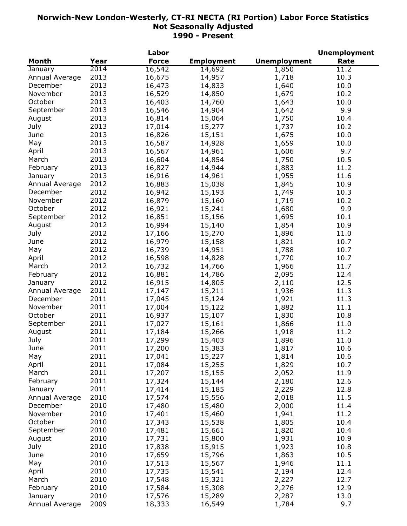|                |      | Labor        |                   |                     | <b>Unemployment</b> |
|----------------|------|--------------|-------------------|---------------------|---------------------|
| <b>Month</b>   | Year | <b>Force</b> | <b>Employment</b> | <b>Unemployment</b> | Rate                |
| January        | 2014 | 16,542       | 14,692            | 1,850               | 11.2                |
| Annual Average | 2013 | 16,675       | 14,957            | 1,718               | 10.3                |
| December       | 2013 | 16,473       | 14,833            | 1,640               | 10.0                |
| November       | 2013 | 16,529       | 14,850            | 1,679               | 10.2                |
| October        | 2013 | 16,403       | 14,760            | 1,643               | 10.0                |
| September      | 2013 | 16,546       | 14,904            | 1,642               | 9.9                 |
| August         | 2013 | 16,814       | 15,064            | 1,750               | 10.4                |
| July           | 2013 | 17,014       | 15,277            | 1,737               | 10.2                |
| June           | 2013 | 16,826       | 15,151            | 1,675               | 10.0                |
| May            | 2013 | 16,587       | 14,928            | 1,659               | 10.0                |
| April          | 2013 | 16,567       | 14,961            | 1,606               | 9.7                 |
| March          | 2013 | 16,604       | 14,854            | 1,750               | 10.5                |
| February       | 2013 | 16,827       | 14,944            | 1,883               | 11.2                |
| January        | 2013 | 16,916       | 14,961            | 1,955               | 11.6                |
| Annual Average | 2012 | 16,883       | 15,038            | 1,845               | 10.9                |
| December       | 2012 | 16,942       | 15,193            | 1,749               | 10.3                |
| November       | 2012 | 16,879       | 15,160            | 1,719               | 10.2                |
| October        | 2012 |              |                   |                     | 9.9                 |
|                |      | 16,921       | 15,241            | 1,680               |                     |
| September      | 2012 | 16,851       | 15,156            | 1,695               | 10.1                |
| August         | 2012 | 16,994       | 15,140            | 1,854               | 10.9                |
| July           | 2012 | 17,166       | 15,270            | 1,896               | 11.0                |
| June           | 2012 | 16,979       | 15,158            | 1,821               | 10.7                |
| May            | 2012 | 16,739       | 14,951            | 1,788               | 10.7                |
| April          | 2012 | 16,598       | 14,828            | 1,770               | 10.7                |
| March          | 2012 | 16,732       | 14,766            | 1,966               | 11.7                |
| February       | 2012 | 16,881       | 14,786            | 2,095               | 12.4                |
| January        | 2012 | 16,915       | 14,805            | 2,110               | 12.5                |
| Annual Average | 2011 | 17,147       | 15,211            | 1,936               | 11.3                |
| December       | 2011 | 17,045       | 15,124            | 1,921               | 11.3                |
| November       | 2011 | 17,004       | 15,122            | 1,882               | 11.1                |
| October        | 2011 | 16,937       | 15,107            | 1,830               | 10.8                |
| September      | 2011 | 17,027       | 15,161            | 1,866               | 11.0                |
| August         | 2011 | 17,184       | 15,266            | 1,918               | 11.2                |
| July           | 2011 | 17,299       | 15,403            | 1,896               | 11.0                |
| June           | 2011 | 17,200       | 15,383            | 1,817               | 10.6                |
| May            | 2011 | 17,041       | 15,227            | 1,814               | 10.6                |
| April          | 2011 | 17,084       | 15,255            | 1,829               | 10.7                |
| March          | 2011 | 17,207       | 15,155            | 2,052               | 11.9                |
| February       | 2011 | 17,324       | 15,144            | 2,180               | 12.6                |
| January        | 2011 | 17,414       | 15,185            | 2,229               | 12.8                |
| Annual Average | 2010 | 17,574       | 15,556            | 2,018               | 11.5                |
| December       | 2010 | 17,480       | 15,480            | 2,000               | 11.4                |
| November       | 2010 | 17,401       | 15,460            | 1,941               | 11.2                |
| October        | 2010 | 17,343       | 15,538            | 1,805               | 10.4                |
| September      | 2010 | 17,481       | 15,661            | 1,820               | 10.4                |
| August         | 2010 | 17,731       | 15,800            | 1,931               | 10.9                |
|                | 2010 |              |                   |                     | 10.8                |
| July           |      | 17,838       | 15,915            | 1,923               |                     |
| June           | 2010 | 17,659       | 15,796            | 1,863               | 10.5                |
| May            | 2010 | 17,513       | 15,567            | 1,946               | 11.1                |
| April          | 2010 | 17,735       | 15,541            | 2,194               | 12.4                |
| March          | 2010 | 17,548       | 15,321            | 2,227               | 12.7                |
| February       | 2010 | 17,584       | 15,308            | 2,276               | 12.9                |
| January        | 2010 | 17,576       | 15,289            | 2,287               | 13.0                |
| Annual Average | 2009 | 18,333       | 16,549            | 1,784               | 9.7                 |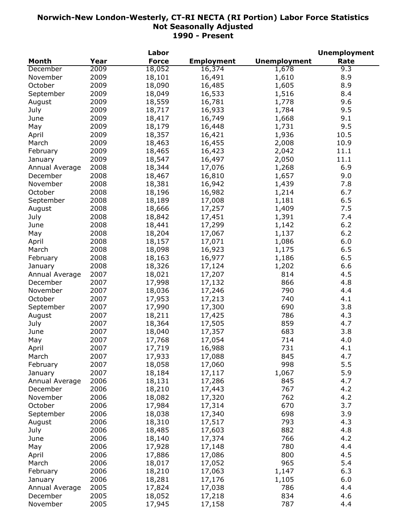|                |      | Labor        |                   |                     | <b>Unemployment</b> |
|----------------|------|--------------|-------------------|---------------------|---------------------|
| <b>Month</b>   | Year | <b>Force</b> | <b>Employment</b> | <b>Unemployment</b> | Rate                |
| December       | 2009 | 18,052       | 16,374            | 1,678               | 9.3                 |
| November       | 2009 | 18,101       | 16,491            | 1,610               | 8.9                 |
| October        | 2009 | 18,090       | 16,485            | 1,605               | 8.9                 |
| September      | 2009 | 18,049       | 16,533            | 1,516               | 8.4                 |
| August         | 2009 | 18,559       | 16,781            | 1,778               | 9.6                 |
| July           | 2009 | 18,717       | 16,933            | 1,784               | 9.5                 |
| June           | 2009 | 18,417       | 16,749            | 1,668               | 9.1                 |
| May            | 2009 | 18,179       | 16,448            | 1,731               | 9.5                 |
| April          | 2009 | 18,357       | 16,421            | 1,936               | 10.5                |
| March          | 2009 | 18,463       | 16,455            | 2,008               | 10.9                |
| February       | 2009 | 18,465       | 16,423            | 2,042               | 11.1                |
| January        | 2009 | 18,547       | 16,497            | 2,050               | 11.1                |
| Annual Average | 2008 | 18,344       | 17,076            | 1,268               | 6.9                 |
| December       | 2008 | 18,467       | 16,810            | 1,657               | 9.0                 |
| November       | 2008 | 18,381       | 16,942            | 1,439               | 7.8                 |
| October        | 2008 | 18,196       | 16,982            | 1,214               | 6.7                 |
| September      | 2008 | 18,189       | 17,008            | 1,181               | 6.5                 |
|                | 2008 | 18,666       | 17,257            | 1,409               | 7.5                 |
| August         | 2008 |              |                   |                     | 7.4                 |
| July           |      | 18,842       | 17,451            | 1,391               |                     |
| June           | 2008 | 18,441       | 17,299            | 1,142               | 6.2                 |
| May            | 2008 | 18,204       | 17,067            | 1,137               | 6.2                 |
| April          | 2008 | 18,157       | 17,071            | 1,086               | 6.0                 |
| March          | 2008 | 18,098       | 16,923            | 1,175               | 6.5                 |
| February       | 2008 | 18,163       | 16,977            | 1,186               | 6.5                 |
| January        | 2008 | 18,326       | 17,124            | 1,202               | 6.6                 |
| Annual Average | 2007 | 18,021       | 17,207            | 814                 | 4.5                 |
| December       | 2007 | 17,998       | 17,132            | 866                 | 4.8                 |
| November       | 2007 | 18,036       | 17,246            | 790                 | 4.4                 |
| October        | 2007 | 17,953       | 17,213            | 740                 | 4.1                 |
| September      | 2007 | 17,990       | 17,300            | 690                 | 3.8                 |
| August         | 2007 | 18,211       | 17,425            | 786                 | 4.3                 |
| July           | 2007 | 18,364       | 17,505            | 859                 | 4.7                 |
| June           | 2007 | 18,040       | 17,357            | 683                 | 3.8                 |
| May            | 2007 | 17,768       | 17,054            | 714                 | 4.0                 |
| April          | 2007 | 17,719       | 16,988            | 731                 | 4.1                 |
| March          | 2007 | 17,933       | 17,088            | 845                 | 4.7                 |
| February       | 2007 | 18,058       | 17,060            | 998                 | 5.5                 |
| January        | 2007 | 18,184       | 17,117            | 1,067               | 5.9                 |
| Annual Average | 2006 | 18,131       | 17,286            | 845                 | 4.7                 |
| December       | 2006 | 18,210       | 17,443            | 767                 | 4.2                 |
| November       | 2006 | 18,082       | 17,320            | 762                 | 4.2                 |
| October        | 2006 | 17,984       | 17,314            | 670                 | 3.7                 |
| September      | 2006 | 18,038       | 17,340            | 698                 | 3.9                 |
| August         | 2006 | 18,310       | 17,517            | 793                 | 4.3                 |
| July           | 2006 | 18,485       | 17,603            | 882                 | 4.8                 |
| June           | 2006 | 18,140       | 17,374            | 766                 | 4.2                 |
| May            | 2006 | 17,928       | 17,148            | 780                 | 4.4                 |
| April          | 2006 | 17,886       | 17,086            | 800                 | 4.5                 |
| March          | 2006 | 18,017       | 17,052            | 965                 | 5.4                 |
| February       | 2006 | 18,210       | 17,063            | 1,147               | 6.3                 |
|                | 2006 | 18,281       |                   |                     | 6.0                 |
| January        |      |              | 17,176            | 1,105               |                     |
| Annual Average | 2005 | 17,824       | 17,038            | 786                 | 4.4                 |
| December       | 2005 | 18,052       | 17,218            | 834                 | 4.6                 |
| November       | 2005 | 17,945       | 17,158            | 787                 | 4.4                 |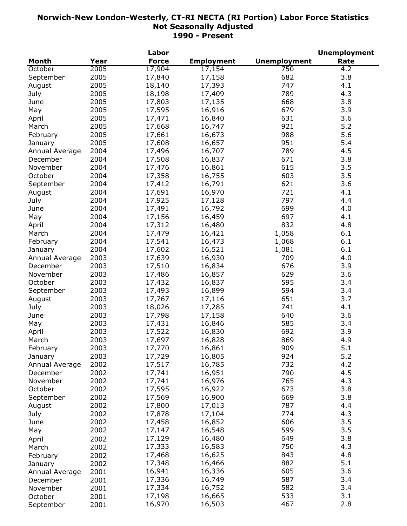|                |      | Labor        |                   |                     | <b>Unemployment</b> |
|----------------|------|--------------|-------------------|---------------------|---------------------|
| <b>Month</b>   | Year | <b>Force</b> | <b>Employment</b> | <b>Unemployment</b> | Rate                |
| October        | 2005 | 17,904       | 17,154            | 750                 | 4.2                 |
| September      | 2005 | 17,840       | 17,158            | 682                 | 3.8                 |
| August         | 2005 | 18,140       | 17,393            | 747                 | 4.1                 |
| July           | 2005 | 18,198       | 17,409            | 789                 | 4.3                 |
| June           | 2005 | 17,803       | 17,135            | 668                 | 3.8                 |
| May            | 2005 | 17,595       | 16,916            | 679                 | 3.9                 |
| April          | 2005 | 17,471       | 16,840            | 631                 | 3.6                 |
| March          | 2005 | 17,668       | 16,747            | 921                 | 5.2                 |
| February       | 2005 | 17,661       | 16,673            | 988                 | 5.6                 |
| January        | 2005 | 17,608       | 16,657            | 951                 | 5.4                 |
| Annual Average | 2004 | 17,496       | 16,707            | 789                 | 4.5                 |
| December       | 2004 | 17,508       | 16,837            | 671                 | 3.8                 |
| November       | 2004 |              |                   | 615                 | 3.5                 |
|                |      | 17,476       | 16,861            |                     |                     |
| October        | 2004 | 17,358       | 16,755            | 603                 | 3.5                 |
| September      | 2004 | 17,412       | 16,791            | 621                 | 3.6                 |
| August         | 2004 | 17,691       | 16,970            | 721                 | 4.1                 |
| July           | 2004 | 17,925       | 17,128            | 797                 | 4.4                 |
| June           | 2004 | 17,491       | 16,792            | 699                 | 4.0                 |
| May            | 2004 | 17,156       | 16,459            | 697                 | 4.1                 |
| April          | 2004 | 17,312       | 16,480            | 832                 | 4.8                 |
| March          | 2004 | 17,479       | 16,421            | 1,058               | 6.1                 |
| February       | 2004 | 17,541       | 16,473            | 1,068               | $6.1\,$             |
| January        | 2004 | 17,602       | 16,521            | 1,081               | 6.1                 |
| Annual Average | 2003 | 17,639       | 16,930            | 709                 | 4.0                 |
| December       | 2003 | 17,510       | 16,834            | 676                 | 3.9                 |
| November       | 2003 | 17,486       | 16,857            | 629                 | 3.6                 |
| October        | 2003 | 17,432       | 16,837            | 595                 | 3.4                 |
| September      | 2003 | 17,493       | 16,899            | 594                 | 3.4                 |
| August         | 2003 | 17,767       | 17,116            | 651                 | 3.7                 |
| July           | 2003 | 18,026       | 17,285            | 741                 | 4.1                 |
| June           | 2003 | 17,798       | 17,158            | 640                 | 3.6                 |
| May            | 2003 | 17,431       | 16,846            | 585                 | 3.4                 |
| April          | 2003 | 17,522       | 16,830            | 692                 | 3.9                 |
| March          | 2003 | 17,697       | 16,828            | 869                 | 4.9                 |
| February       | 2003 | 17,770       | 16,861            | 909                 | 5.1                 |
| January        | 2003 | 17,729       | 16,805            | 924                 | 5.2                 |
| Annual Average | 2002 | 17,517       | 16,785            | 732                 | 4.2                 |
| December       | 2002 | 17,741       | 16,951            | 790                 | 4.5                 |
| November       | 2002 | 17,741       | 16,976            | 765                 | 4.3                 |
| October        | 2002 | 17,595       |                   | 673                 | 3.8                 |
|                |      |              | 16,922            | 669                 | 3.8                 |
| September      | 2002 | 17,569       | 16,900            |                     |                     |
| August         | 2002 | 17,800       | 17,013            | 787                 | 4.4                 |
| July           | 2002 | 17,878       | 17,104            | 774                 | 4.3                 |
| June           | 2002 | 17,458       | 16,852            | 606                 | 3.5                 |
| May            | 2002 | 17,147       | 16,548            | 599                 | 3.5                 |
| April          | 2002 | 17,129       | 16,480            | 649                 | 3.8                 |
| March          | 2002 | 17,333       | 16,583            | 750                 | 4.3                 |
| February       | 2002 | 17,468       | 16,625            | 843                 | 4.8                 |
| January        | 2002 | 17,348       | 16,466            | 882                 | 5.1                 |
| Annual Average | 2001 | 16,941       | 16,336            | 605                 | 3.6                 |
| December       | 2001 | 17,336       | 16,749            | 587                 | 3.4                 |
| November       | 2001 | 17,334       | 16,752            | 582                 | 3.4                 |
| October        | 2001 | 17,198       | 16,665            | 533                 | 3.1                 |
| September      | 2001 | 16,970       | 16,503            | 467                 | 2.8                 |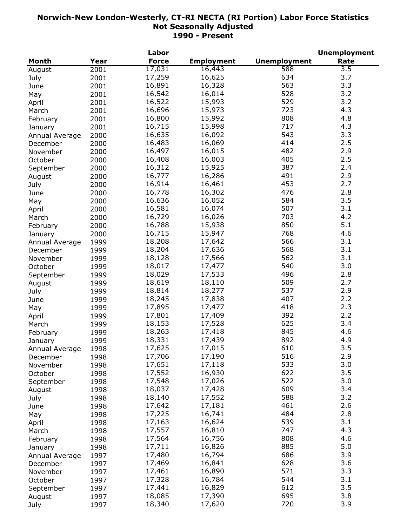|                |      | Labor        |                   |                     | <b>Unemployment</b> |
|----------------|------|--------------|-------------------|---------------------|---------------------|
| <b>Month</b>   | Year | <b>Force</b> | <b>Employment</b> | <b>Unemployment</b> | Rate                |
| August         | 2001 | 17,031       | 16,443            | 588                 | $\overline{3.5}$    |
| July           | 2001 | 17,259       | 16,625            | 634                 | 3.7                 |
| June           | 2001 | 16,891       | 16,328            | 563                 | 3.3                 |
| May            | 2001 | 16,542       | 16,014            | 528                 | 3.2                 |
| April          | 2001 | 16,522       | 15,993            | 529                 | 3.2                 |
| March          | 2001 | 16,696       | 15,973            | 723                 | 4.3                 |
| February       | 2001 | 16,800       | 15,992            | 808                 | 4.8                 |
| January        | 2001 | 16,715       | 15,998            | 717                 | 4.3                 |
| Annual Average | 2000 | 16,635       | 16,092            | 543                 | 3.3                 |
| December       | 2000 | 16,483       | 16,069            | 414                 | 2.5                 |
| November       | 2000 | 16,497       | 16,015            | 482                 | 2.9                 |
| October        | 2000 | 16,408       | 16,003            | 405                 | 2.5                 |
|                | 2000 | 16,312       | 15,925            | 387                 | 2.4                 |
| September      |      | 16,777       | 16,286            | 491                 | 2.9                 |
| August         | 2000 | 16,914       | 16,461            | 453                 | 2.7                 |
| July           | 2000 |              |                   | 476                 | 2.8                 |
| June           | 2000 | 16,778       | 16,302            |                     | 3.5                 |
| May            | 2000 | 16,636       | 16,052            | 584                 |                     |
| April          | 2000 | 16,581       | 16,074            | 507                 | 3.1                 |
| March          | 2000 | 16,729       | 16,026            | 703                 | 4.2                 |
| February       | 2000 | 16,788       | 15,938            | 850                 | 5.1                 |
| January        | 2000 | 16,715       | 15,947            | 768                 | 4.6                 |
| Annual Average | 1999 | 18,208       | 17,642            | 566                 | 3.1                 |
| December       | 1999 | 18,204       | 17,636            | 568                 | 3.1                 |
| November       | 1999 | 18,128       | 17,566            | 562                 | 3.1                 |
| October        | 1999 | 18,017       | 17,477            | 540                 | 3.0                 |
| September      | 1999 | 18,029       | 17,533            | 496                 | 2.8                 |
| August         | 1999 | 18,619       | 18,110            | 509                 | 2.7                 |
| July           | 1999 | 18,814       | 18,277            | 537                 | 2.9                 |
| June           | 1999 | 18,245       | 17,838            | 407                 | 2.2                 |
| May            | 1999 | 17,895       | 17,477            | 418                 | 2.3                 |
| April          | 1999 | 17,801       | 17,409            | 392                 | 2.2                 |
| March          | 1999 | 18,153       | 17,528            | 625                 | 3.4                 |
| February       | 1999 | 18,263       | 17,418            | 845                 | 4.6                 |
| January        | 1999 | 18,331       | 17,439            | 892                 | 4.9                 |
| Annual Average | 1998 | 17,625       | 17,015            | 610                 | 3.5                 |
| December       | 1998 | 17,706       | 17,190            | 516                 | 2.9                 |
| November       | 1998 | 17,651       | 17,118            | 533                 | 3.0                 |
| October        | 1998 | 17,552       | 16,930            | 622                 | 3.5                 |
| September      | 1998 | 17,548       | 17,026            | 522                 | 3.0                 |
| August         | 1998 | 18,037       | 17,428            | 609                 | 3.4                 |
| July           | 1998 | 18,140       | 17,552            | 588                 | 3.2                 |
| June           | 1998 | 17,642       | 17,181            | 461                 | 2.6                 |
| May            | 1998 | 17,225       | 16,741            | 484                 | 2.8                 |
| April          | 1998 | 17,163       | 16,624            | 539                 | 3.1                 |
|                | 1998 | 17,557       | 16,810            | 747                 | 4.3                 |
| March          |      | 17,564       | 16,756            | 808                 | 4.6                 |
| February       | 1998 | 17,711       |                   | 885                 | 5.0                 |
| January        | 1998 |              | 16,826            |                     |                     |
| Annual Average | 1997 | 17,480       | 16,794            | 686                 | 3.9                 |
| December       | 1997 | 17,469       | 16,841            | 628                 | 3.6                 |
| November       | 1997 | 17,461       | 16,890            | 571                 | 3.3                 |
| October        | 1997 | 17,328       | 16,784            | 544                 | 3.1                 |
| September      | 1997 | 17,441       | 16,829            | 612                 | 3.5                 |
| August         | 1997 | 18,085       | 17,390            | 695                 | 3.8                 |
| July           | 1997 | 18,340       | 17,620            | 720                 | 3.9                 |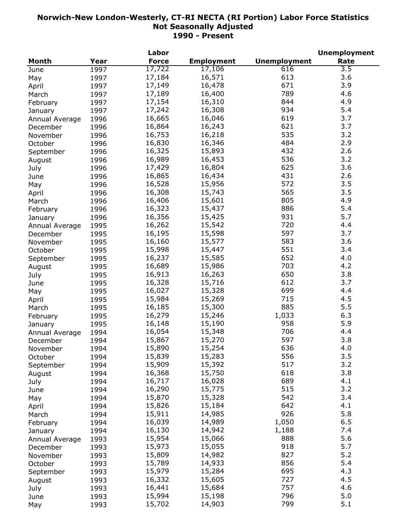|                |      | Labor        |                   |                     | <b>Unemployment</b> |
|----------------|------|--------------|-------------------|---------------------|---------------------|
| Month          | Year | <b>Force</b> | <b>Employment</b> | <b>Unemployment</b> | Rate                |
| June           | 1997 | 17,722       | 17,106            | 616                 | $\overline{3.5}$    |
| May            | 1997 | 17,184       | 16,571            | 613                 | 3.6                 |
| April          | 1997 | 17,149       | 16,478            | 671                 | 3.9                 |
| March          | 1997 | 17,189       | 16,400            | 789                 | 4.6                 |
| February       | 1997 | 17,154       | 16,310            | 844                 | 4.9                 |
| January        | 1997 | 17,242       | 16,308            | 934                 | 5.4                 |
| Annual Average | 1996 | 16,665       | 16,046            | 619                 | 3.7                 |
| December       | 1996 | 16,864       | 16,243            | 621                 | 3.7                 |
| November       | 1996 | 16,753       | 16,218            | 535                 | 3.2                 |
| October        | 1996 | 16,830       | 16,346            | 484                 | 2.9                 |
| September      | 1996 | 16,325       | 15,893            | 432                 | 2.6                 |
| August         | 1996 | 16,989       | 16,453            | 536                 | 3.2                 |
| July           | 1996 | 17,429       | 16,804            | 625                 | 3.6                 |
| June           | 1996 | 16,865       | 16,434            | 431                 | 2.6                 |
| May            | 1996 | 16,528       | 15,956            | 572                 | 3.5                 |
| April          | 1996 | 16,308       | 15,743            | 565                 | 3.5                 |
| March          | 1996 | 16,406       | 15,601            | 805                 | 4.9                 |
| February       | 1996 | 16,323       | 15,437            | 886                 | 5.4                 |
| January        | 1996 | 16,356       | 15,425            | 931                 | 5.7                 |
| Annual Average | 1995 | 16,262       | 15,542            | 720                 | 4.4                 |
| December       | 1995 | 16,195       | 15,598            | 597                 | 3.7                 |
|                |      | 16,160       | 15,577            | 583                 | 3.6                 |
| November       | 1995 | 15,998       | 15,447            | 551                 | 3.4                 |
| October        | 1995 |              |                   | 652                 | 4.0                 |
| September      | 1995 | 16,237       | 15,585            |                     |                     |
| August         | 1995 | 16,689       | 15,986            | 703                 | 4.2                 |
| July           | 1995 | 16,913       | 16,263            | 650                 | 3.8                 |
| June           | 1995 | 16,328       | 15,716            | 612                 | 3.7                 |
| May            | 1995 | 16,027       | 15,328            | 699                 | 4.4                 |
| April          | 1995 | 15,984       | 15,269            | 715                 | 4.5                 |
| March          | 1995 | 16,185       | 15,300            | 885                 | 5.5                 |
| February       | 1995 | 16,279       | 15,246            | 1,033               | 6.3                 |
| January        | 1995 | 16,148       | 15,190            | 958                 | 5.9                 |
| Annual Average | 1994 | 16,054       | 15,348            | 706                 | 4.4                 |
| December       | 1994 | 15,867       | 15,270            | 597                 | 3.8                 |
| November       | 1994 | 15,890       | 15,254            | 636                 | 4.0                 |
| October        | 1994 | 15,839       | 15,283            | 556                 | 3.5                 |
| September      | 1994 | 15,909       | 15,392            | 517                 | 3.2                 |
| August         | 1994 | 16,368       | 15,750            | 618                 | 3.8                 |
| July           | 1994 | 16,717       | 16,028            | 689                 | 4.1                 |
| June           | 1994 | 16,290       | 15,775            | 515                 | 3.2                 |
| May            | 1994 | 15,870       | 15,328            | 542                 | 3.4                 |
| April          | 1994 | 15,826       | 15,184            | 642                 | 4.1                 |
| March          | 1994 | 15,911       | 14,985            | 926                 | 5.8                 |
| February       | 1994 | 16,039       | 14,989            | 1,050               | 6.5                 |
| January        | 1994 | 16,130       | 14,942            | 1,188               | 7.4                 |
| Annual Average | 1993 | 15,954       | 15,066            | 888                 | 5.6                 |
| December       | 1993 | 15,973       | 15,055            | 918                 | 5.7                 |
| November       | 1993 | 15,809       | 14,982            | 827                 | 5.2                 |
| October        | 1993 | 15,789       | 14,933            | 856                 | 5.4                 |
| September      | 1993 | 15,979       | 15,284            | 695                 | 4.3                 |
|                | 1993 | 16,332       | 15,605            | 727                 | 4.5                 |
| August         |      | 16,441       | 15,684            | 757                 | 4.6                 |
| July           | 1993 | 15,994       | 15,198            | 796                 | 5.0                 |
| June           | 1993 | 15,702       |                   | 799                 | 5.1                 |
| May            | 1993 |              | 14,903            |                     |                     |